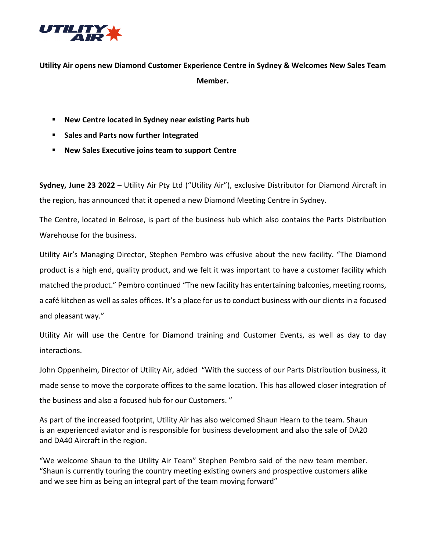

**Utility Air opens new Diamond Customer Experience Centre in Sydney & Welcomes New Sales Team Member.**

- **New Centre located in Sydney near existing Parts hub**
- **F** Sales and Parts now further Integrated
- **New Sales Executive joins team to support Centre**

**Sydney, June 23 2022** – [Utility Air](http://www.nextantpacific.com/) Pty Ltd ("Utility Air"), exclusive Distributor for Diamond Aircraft in the region, has announced that it opened a new Diamond Meeting Centre in Sydney.

The Centre, located in Belrose, is part of the business hub which also contains the Parts Distribution Warehouse for the business.

Utility Air's Managing Director, Stephen Pembro was effusive about the new facility. "The Diamond product is a high end, quality product, and we felt it was important to have a customer facility which matched the product." Pembro continued "The new facility has entertaining balconies, meeting rooms, a café kitchen as well as sales offices. It's a place for us to conduct business with our clients in a focused and pleasant way."

Utility Air will use the Centre for Diamond training and Customer Events, as well as day to day interactions.

John Oppenheim, Director of Utility Air, added "With the success of our Parts Distribution business, it made sense to move the corporate offices to the same location. This has allowed closer integration of the business and also a focused hub for our Customers. "

As part of the increased footprint, Utility Air has also welcomed Shaun Hearn to the team. Shaun is an experienced aviator and is responsible for business development and also the sale of DA20 and DA40 Aircraft in the region.

"We welcome Shaun to the Utility Air Team" Stephen Pembro said of the new team member. "Shaun is currently touring the country meeting existing owners and prospective customers alike and we see him as being an integral part of the team moving forward"